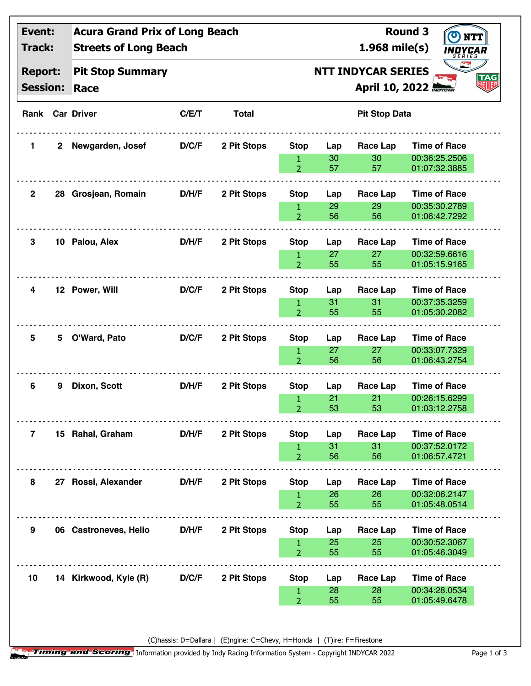|                 | <b>Acura Grand Prix of Long Beach</b>                   |                                                                                                                                                                                                                                    |              |                                |                               |                 | <b>Round 3</b><br>$\odot$<br><b>NTT</b> |                                                                                                                                |
|-----------------|---------------------------------------------------------|------------------------------------------------------------------------------------------------------------------------------------------------------------------------------------------------------------------------------------|--------------|--------------------------------|-------------------------------|-----------------|-----------------------------------------|--------------------------------------------------------------------------------------------------------------------------------|
| Track:          | <b>Streets of Long Beach</b><br><b>Pit Stop Summary</b> |                                                                                                                                                                                                                                    |              |                                |                               | $1.968$ mile(s) | <b>INDYCAR</b>                          |                                                                                                                                |
| <b>Report:</b>  |                                                         |                                                                                                                                                                                                                                    |              |                                | <b>NTT INDYCAR SERIES</b>     |                 |                                         |                                                                                                                                |
| <b>Session:</b> | Race                                                    |                                                                                                                                                                                                                                    |              |                                |                               |                 |                                         | <b>TAG</b><br>NUF                                                                                                              |
|                 |                                                         | C/E/T                                                                                                                                                                                                                              | <b>Total</b> |                                |                               |                 |                                         |                                                                                                                                |
| $\mathbf{2}$    |                                                         | D/C/F                                                                                                                                                                                                                              | 2 Pit Stops  | <b>Stop</b>                    | Lap                           | Race Lap        | <b>Time of Race</b>                     |                                                                                                                                |
|                 |                                                         |                                                                                                                                                                                                                                    |              | 1<br>$\overline{2}$            | 30<br>57                      | 30<br>57        | 00:36:25.2506<br>01:07:32.3885          |                                                                                                                                |
|                 |                                                         | D/H/F                                                                                                                                                                                                                              | 2 Pit Stops  | <b>Stop</b>                    | Lap                           | Race Lap        | <b>Time of Race</b>                     |                                                                                                                                |
|                 |                                                         |                                                                                                                                                                                                                                    |              | 1<br>$\overline{2}$            | 29<br>56                      | 29<br>56        | 01:06:42.7292                           |                                                                                                                                |
|                 |                                                         | D/H/F                                                                                                                                                                                                                              | 2 Pit Stops  | <b>Stop</b>                    | Lap                           | Race Lap        | <b>Time of Race</b>                     |                                                                                                                                |
|                 |                                                         |                                                                                                                                                                                                                                    |              | 1<br>$\overline{2}$            | 27<br>55                      | 27<br>55        | 00:32:59.6616<br>01:05:15.9165          |                                                                                                                                |
|                 |                                                         | D/C/F                                                                                                                                                                                                                              | 2 Pit Stops  | <b>Stop</b>                    | Lap                           | Race Lap        | <b>Time of Race</b>                     |                                                                                                                                |
|                 |                                                         |                                                                                                                                                                                                                                    |              | 1<br>$\overline{2}$            | 31<br>55                      | 31<br>55        | 00:37:35.3259<br>01:05:30.2082          |                                                                                                                                |
| 5.              |                                                         | D/C/F                                                                                                                                                                                                                              |              | <b>Stop</b>                    | Lap                           | Race Lap        | <b>Time of Race</b>                     |                                                                                                                                |
|                 |                                                         |                                                                                                                                                                                                                                    |              | 1<br>$\overline{2}$            | 27<br>56                      | 27<br>56        | 00:33:07.7329<br>01:06:43.2754          |                                                                                                                                |
|                 |                                                         |                                                                                                                                                                                                                                    |              |                                |                               |                 |                                         |                                                                                                                                |
|                 |                                                         |                                                                                                                                                                                                                                    |              | $\mathbf{1}$                   | 21                            | 21              | 00:26:15.6299                           |                                                                                                                                |
|                 |                                                         |                                                                                                                                                                                                                                    |              |                                |                               |                 |                                         |                                                                                                                                |
|                 |                                                         | D/H/F                                                                                                                                                                                                                              | 2 Pit Stops  | <b>Stop</b>                    | Lap                           | <b>Race Lap</b> | <b>Time of Race</b>                     |                                                                                                                                |
|                 |                                                         |                                                                                                                                                                                                                                    |              | 1<br>$\overline{2}$            | 56                            | 56              | 01:06:57.4721                           |                                                                                                                                |
|                 |                                                         | D/H/F                                                                                                                                                                                                                              | 2 Pit Stops  | <b>Stop</b>                    | Lap                           | Race Lap        | <b>Time of Race</b>                     |                                                                                                                                |
|                 |                                                         |                                                                                                                                                                                                                                    |              | $\mathbf{1}$<br>$\overline{2}$ | 26<br>55                      | 26<br>55        | 00:32:06.2147<br>01:05:48.0514          |                                                                                                                                |
|                 |                                                         | D/H/F                                                                                                                                                                                                                              | 2 Pit Stops  | <b>Stop</b>                    | Lap                           | <b>Race Lap</b> | <b>Time of Race</b>                     |                                                                                                                                |
|                 |                                                         |                                                                                                                                                                                                                                    |              | $\mathbf{1}$<br>2 <sup>1</sup> | 25<br>55                      | 25<br>55        | 00:30:52.3067<br>01:05:46.3049          |                                                                                                                                |
|                 |                                                         | D/C/F                                                                                                                                                                                                                              | 2 Pit Stops  | <b>Stop</b>                    | Lap                           | Race Lap        | <b>Time of Race</b>                     |                                                                                                                                |
|                 |                                                         |                                                                                                                                                                                                                                    |              | $\mathbf{1}$<br>$\overline{2}$ | 28<br>55                      | 28<br>55        | 00:34:28.0534<br>01:05:49.6478          |                                                                                                                                |
|                 | 9                                                       | <b>Rank Car Driver</b><br>Newgarden, Josef<br>28 Grosjean, Romain<br>10 Palou, Alex<br>12 Power, Will<br>O'Ward, Pato<br>Dixon, Scott<br>15 Rahal, Graham<br>27 Rossi, Alexander<br>06 Castroneves, Helio<br>14 Kirkwood, Kyle (R) | D/H/F        | 2 Pit Stops<br>2 Pit Stops     | <b>Stop</b><br>$\overline{2}$ | Lap<br>53<br>31 | Race Lap<br>53<br>31                    | <b>April 10, 2022 MOVCAR</b><br><b>Pit Stop Data</b><br>00:35:30.2789<br><b>Time of Race</b><br>01:03:12.2758<br>00:37:52.0172 |

(C)hassis: D=Dallara | (E)ngine: C=Chevy, H=Honda | (T)ire: F=Firestone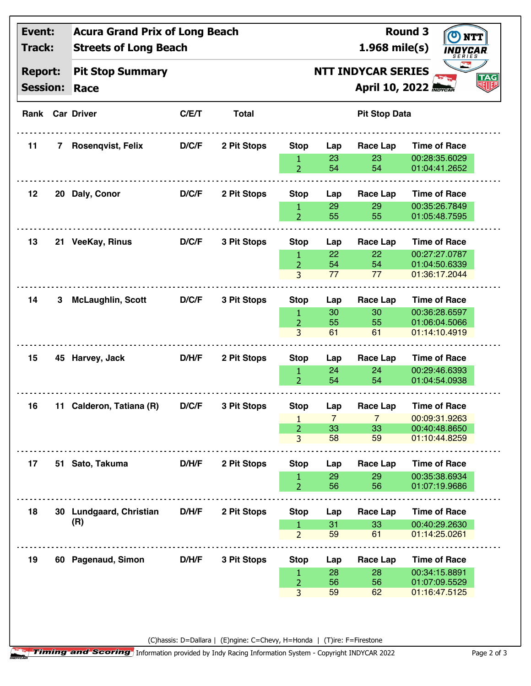| Event:<br><b>Track:</b><br><b>Report:</b><br><b>Session:</b> |   | <b>Acura Grand Prix of Long Beach</b><br><b>Streets of Long Beach</b> |       |              |                                                           |                | $1.968$ mile(s)      | <b>Round 3</b> | $\bf{o}$<br><b>NTT</b><br>INDYCAR<br>SERIES |                   |
|--------------------------------------------------------------|---|-----------------------------------------------------------------------|-------|--------------|-----------------------------------------------------------|----------------|----------------------|----------------|---------------------------------------------|-------------------|
|                                                              |   | <b>Pit Stop Summary</b><br>Race                                       |       |              | <b>NTT INDYCAR SERIES</b><br><b>April 10, 2022 MOVCAR</b> |                |                      |                |                                             | <b>TAG</b><br>NUB |
|                                                              |   | <b>Rank Car Driver</b>                                                | C/E/T | <b>Total</b> |                                                           |                | <b>Pit Stop Data</b> |                |                                             |                   |
| 11                                                           | 7 | Rosenqvist, Felix                                                     | D/C/F | 2 Pit Stops  | <b>Stop</b>                                               | Lap            | <b>Race Lap</b>      |                | <b>Time of Race</b>                         |                   |
|                                                              |   |                                                                       |       |              | $\mathbf{1}$<br>$\overline{2}$                            | 23<br>54       | 23<br>54             |                | 00:28:35.6029<br>01:04:41.2652              |                   |
| $12 \,$                                                      |   | 20 Daly, Conor                                                        | D/C/F | 2 Pit Stops  | <b>Stop</b>                                               | Lap            | <b>Race Lap</b>      |                | <b>Time of Race</b>                         |                   |
|                                                              |   |                                                                       |       |              | 1<br>$\overline{2}$                                       | 29<br>55       | 29<br>55             |                | 00:35:26.7849<br>01:05:48.7595              |                   |
| 13                                                           |   | 21 VeeKay, Rinus                                                      | D/C/F | 3 Pit Stops  | <b>Stop</b>                                               | Lap            | Race Lap             |                | <b>Time of Race</b>                         |                   |
|                                                              |   |                                                                       |       |              | 1<br>$\overline{2}$                                       | 22<br>54       | 22<br>54             |                | 00:27:27.0787<br>01:04:50.6339              |                   |
|                                                              |   |                                                                       |       |              | 3                                                         | 77             | 77                   |                | 01:36:17.2044                               |                   |
| 14                                                           | 3 | <b>McLaughlin, Scott</b>                                              | D/C/F | 3 Pit Stops  | <b>Stop</b>                                               | Lap            | Race Lap             |                | <b>Time of Race</b>                         |                   |
|                                                              |   |                                                                       |       |              | 1<br>$\overline{2}$                                       | 30<br>55       | 30<br>55             |                | 00:36:28.6597<br>01:06:04.5066              |                   |
|                                                              |   |                                                                       |       |              | 3                                                         | 61             | 61                   |                | 01:14:10.4919                               |                   |
| 15                                                           |   | 45 Harvey, Jack                                                       | D/H/F | 2 Pit Stops  | <b>Stop</b>                                               | Lap            | Race Lap             |                | <b>Time of Race</b>                         |                   |
|                                                              |   |                                                                       |       |              | $\mathbf{1}$<br>$\overline{2}$                            | 24<br>54       | 24<br>54             |                | 00:29:46.6393<br>01:04:54.0938              |                   |
| 16                                                           |   | 11 Calderon, Tatiana (R)                                              | D/C/F | 3 Pit Stops  | <b>Stop</b>                                               | Lap            | <b>Race Lap</b>      |                | <b>Time of Race</b>                         |                   |
|                                                              |   |                                                                       |       |              | $\mathbf{1}$                                              | $\overline{7}$ | $\overline{7}$       |                | 00:09:31.9263                               |                   |
|                                                              |   |                                                                       |       |              | $\overline{2}$<br>3                                       | 33<br>58       | 33<br>59             |                | 00:40:48.8650<br>01:10:44.8259              |                   |
| 17                                                           |   | 51 Sato, Takuma                                                       | D/H/F | 2 Pit Stops  | <b>Stop</b>                                               | Lap            | <b>Race Lap</b>      |                | <b>Time of Race</b>                         |                   |
|                                                              |   |                                                                       |       |              | 1<br>$\overline{2}$                                       | 29<br>56       | 29<br>56             |                | 00:35:38.6934<br>01:07:19.9686              |                   |
| 18                                                           |   | 30 Lundgaard, Christian                                               | D/H/F | 2 Pit Stops  | <b>Stop</b>                                               | Lap            | <b>Race Lap</b>      |                | <b>Time of Race</b>                         |                   |
|                                                              |   | (R)                                                                   |       |              | 1<br>$\overline{2}$                                       | 31<br>59       | 33<br>61             |                | 00:40:29.2630<br>01:14:25.0261              |                   |
|                                                              |   |                                                                       |       |              |                                                           |                |                      |                |                                             |                   |
| 19                                                           |   | 60 Pagenaud, Simon                                                    | D/H/F | 3 Pit Stops  | <b>Stop</b>                                               | Lap<br>28      | Race Lap<br>28       |                | <b>Time of Race</b><br>00:34:15.8891        |                   |
|                                                              |   |                                                                       |       |              | 1<br>$\overline{2}$                                       | 56             | 56                   |                | 01:07:09.5529                               |                   |
|                                                              |   |                                                                       |       |              | 3                                                         | 59             | 62                   |                | 01:16:47.5125                               |                   |

(C)hassis: D=Dallara | (E)ngine: C=Chevy, H=Honda | (T)ire: F=Firestone